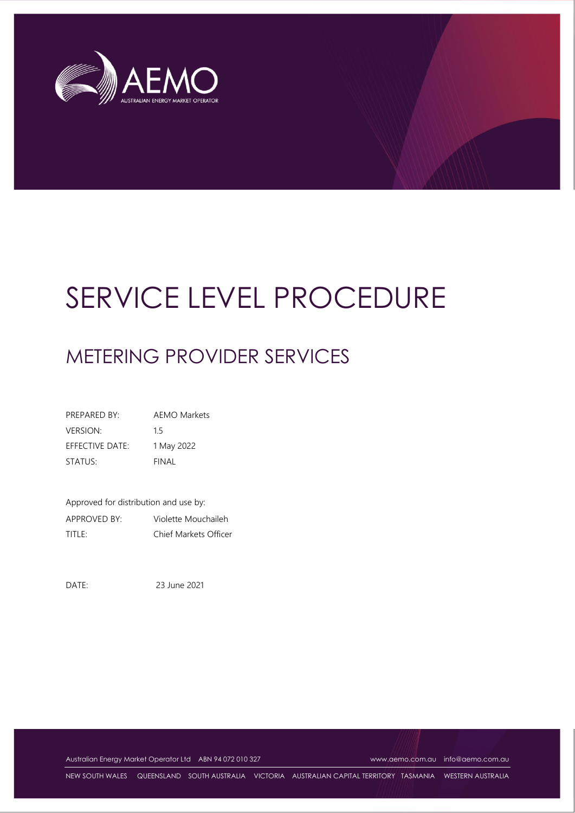

# SERVICE LEVEL PROCEDURE

# METERING PROVIDER SERVICES

PREPARED BY: AEMO Markets VERSION: 1.5 EFFECTIVE DATE: 1 May 2022 STATUS: FINAL

Approved for distribution and use by: APPROVED BY: Violette Mouchaileh TITLE: Chief Markets Officer

DATE: 23 June 2021

Australian Energy Market Operator Ltd ABN 94 072 010 327 [www.aemo.com.au](http://www.aemo.com.au/) [info@aemo.com.au](mailto:info@aemo.com.au)

NEW SOUTH WALES QUEENSLAND SOUTH AUSTRALIA VICTORIA AUSTRALIAN CAPITAL TERRITORY TASMANIA WESTERN AUSTRALIA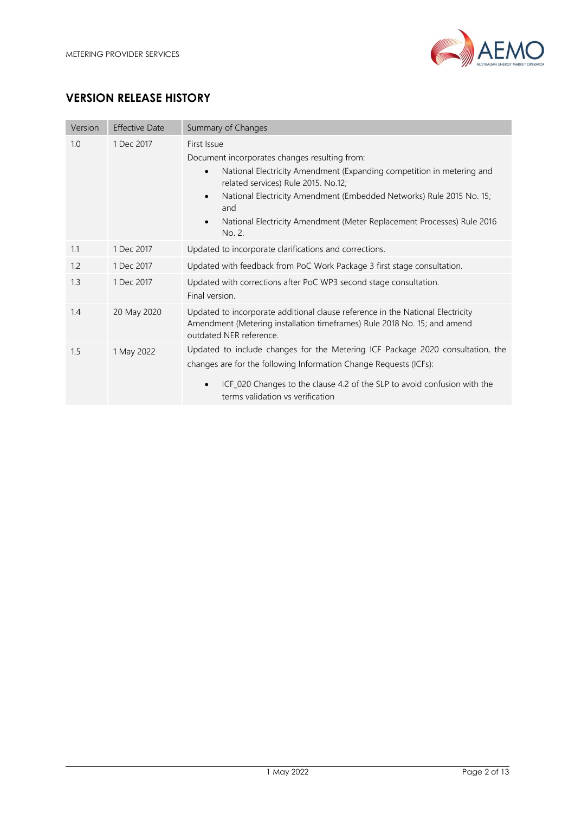

# **VERSION RELEASE HISTORY**

| Version           | <b>Effective Date</b> | Summary of Changes                                                                                                                                                                    |  |  |
|-------------------|-----------------------|---------------------------------------------------------------------------------------------------------------------------------------------------------------------------------------|--|--|
| 1.0<br>1 Dec 2017 |                       | First Issue                                                                                                                                                                           |  |  |
|                   |                       | Document incorporates changes resulting from:                                                                                                                                         |  |  |
|                   |                       | National Electricity Amendment (Expanding competition in metering and<br>related services) Rule 2015. No.12;                                                                          |  |  |
|                   |                       | National Electricity Amendment (Embedded Networks) Rule 2015 No. 15;<br>$\bullet$<br>and                                                                                              |  |  |
|                   |                       | National Electricity Amendment (Meter Replacement Processes) Rule 2016<br>No. 2.                                                                                                      |  |  |
| 1.1               | 1 Dec 2017            | Updated to incorporate clarifications and corrections.                                                                                                                                |  |  |
| 1.2               | 1 Dec 2017            | Updated with feedback from PoC Work Package 3 first stage consultation.                                                                                                               |  |  |
| 1.3               | 1 Dec 2017            | Updated with corrections after PoC WP3 second stage consultation.<br>Final version.                                                                                                   |  |  |
| 1.4               | 20 May 2020           | Updated to incorporate additional clause reference in the National Electricity<br>Amendment (Metering installation timeframes) Rule 2018 No. 15; and amend<br>outdated NER reference. |  |  |
| 1.5               | 1 May 2022            | Updated to include changes for the Metering ICF Package 2020 consultation, the                                                                                                        |  |  |
|                   |                       | changes are for the following Information Change Requests (ICFs):                                                                                                                     |  |  |
|                   |                       | ICF_020 Changes to the clause 4.2 of the SLP to avoid confusion with the<br>terms validation vs verification                                                                          |  |  |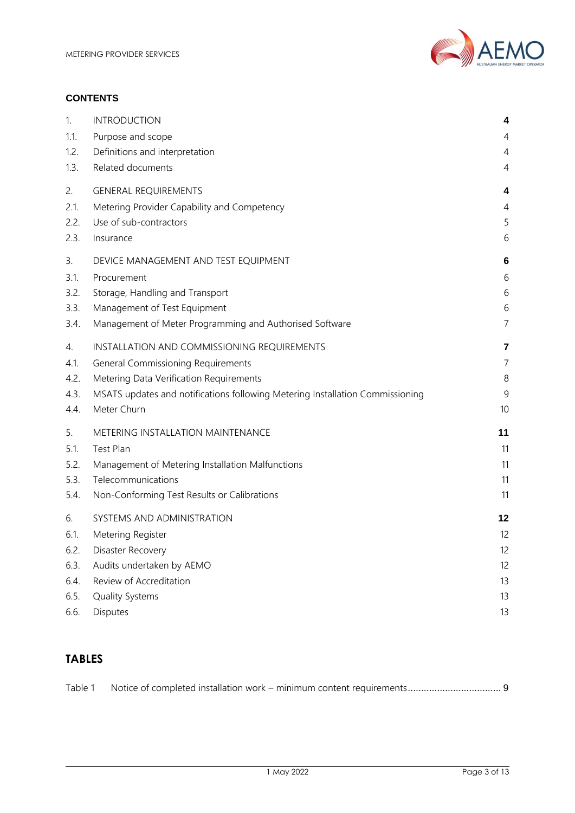

#### **CONTENTS**

| 1.   | <b>INTRODUCTION</b>                                                           | 4              |
|------|-------------------------------------------------------------------------------|----------------|
| 1.1. | Purpose and scope                                                             | 4              |
| 1.2. | Definitions and interpretation                                                | 4              |
| 1.3. | Related documents                                                             | 4              |
| 2.   | <b>GENERAL REQUIREMENTS</b>                                                   | 4              |
| 2.1. | Metering Provider Capability and Competency                                   | 4              |
| 2.2. | Use of sub-contractors                                                        | 5              |
| 2.3. | Insurance                                                                     | 6              |
| 3.   | DEVICE MANAGEMENT AND TEST EQUIPMENT                                          | 6              |
| 3.1. | Procurement                                                                   | 6              |
| 3.2. | Storage, Handling and Transport                                               | 6              |
| 3.3. | Management of Test Equipment                                                  | 6              |
| 3.4. | Management of Meter Programming and Authorised Software                       | 7              |
| 4.   | INSTALLATION AND COMMISSIONING REQUIREMENTS                                   | 7              |
| 4.1. | <b>General Commissioning Requirements</b>                                     | $\overline{7}$ |
| 4.2. | Metering Data Verification Requirements                                       | 8              |
| 4.3. | MSATS updates and notifications following Metering Installation Commissioning | 9              |
| 4.4. | Meter Churn                                                                   | 10             |
| 5.   | METERING INSTALLATION MAINTENANCE                                             | 11             |
| 5.1. | Test Plan                                                                     | 11             |
| 5.2. | Management of Metering Installation Malfunctions                              | 11             |
| 5.3. | Telecommunications                                                            | 11             |
| 5.4. | Non-Conforming Test Results or Calibrations                                   | 11             |
| 6.   | SYSTEMS AND ADMINISTRATION                                                    | 12             |
| 6.1. | Metering Register                                                             | 12             |
| 6.2. | Disaster Recovery                                                             | 12             |
| 6.3. | Audits undertaken by AEMO                                                     | 12             |
| 6.4. | Review of Accreditation                                                       | 13             |
| 6.5. | Quality Systems                                                               | 13             |
| 6.6. | Disputes                                                                      | 13             |

# **TABLES**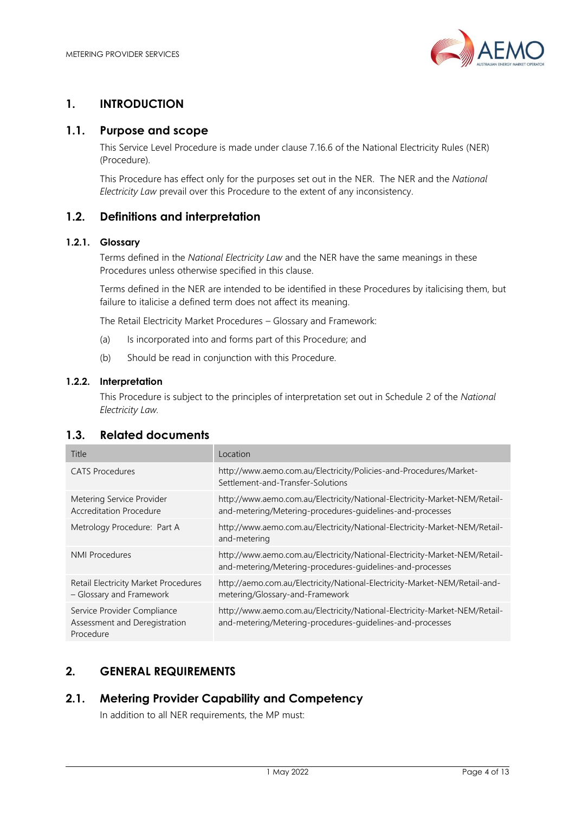

# <span id="page-3-0"></span>**1. INTRODUCTION**

## <span id="page-3-1"></span>**1.1. Purpose and scope**

This Service Level Procedure is made under clause 7.16.6 of the National Electricity Rules (NER) (Procedure).

This Procedure has effect only for the purposes set out in the NER. The NER and the *National Electricity Law* prevail over this Procedure to the extent of any inconsistency.

# <span id="page-3-2"></span>**1.2. Definitions and interpretation**

#### **1.2.1. Glossary**

Terms defined in the *National Electricity Law* and the NER have the same meanings in these Procedures unless otherwise specified in this clause.

Terms defined in the NER are intended to be identified in these Procedures by italicising them, but failure to italicise a defined term does not affect its meaning.

The Retail Electricity Market Procedures – Glossary and Framework:

- (a) Is incorporated into and forms part of this Procedure; and
- (b) Should be read in conjunction with this Procedure.

#### **1.2.2. Interpretation**

This Procedure is subject to the principles of interpretation set out in Schedule 2 of the *National Electricity Law.*

#### <span id="page-3-3"></span>**1.3. Related documents**

| Title                                                                     | Location                                                                                                                                |
|---------------------------------------------------------------------------|-----------------------------------------------------------------------------------------------------------------------------------------|
| <b>CATS</b> Procedures                                                    | http://www.aemo.com.au/Electricity/Policies-and-Procedures/Market-<br>Settlement-and-Transfer-Solutions                                 |
| Metering Service Provider<br><b>Accreditation Procedure</b>               | http://www.aemo.com.au/Electricity/National-Electricity-Market-NEM/Retail-<br>and-metering/Metering-procedures-guidelines-and-processes |
| Metrology Procedure: Part A                                               | http://www.aemo.com.au/Electricity/National-Electricity-Market-NEM/Retail-<br>and-metering                                              |
| <b>NMI Procedures</b>                                                     | http://www.aemo.com.au/Electricity/National-Electricity-Market-NEM/Retail-<br>and-metering/Metering-procedures-guidelines-and-processes |
| Retail Electricity Market Procedures<br>- Glossary and Framework          | http://aemo.com.au/Electricity/National-Electricity-Market-NEM/Retail-and-<br>metering/Glossary-and-Framework                           |
| Service Provider Compliance<br>Assessment and Deregistration<br>Procedure | http://www.aemo.com.au/Electricity/National-Electricity-Market-NEM/Retail-<br>and-metering/Metering-procedures-guidelines-and-processes |

## <span id="page-3-4"></span>**2. GENERAL REQUIREMENTS**

#### <span id="page-3-5"></span>**2.1. Metering Provider Capability and Competency**

In addition to all NER requirements, the MP must: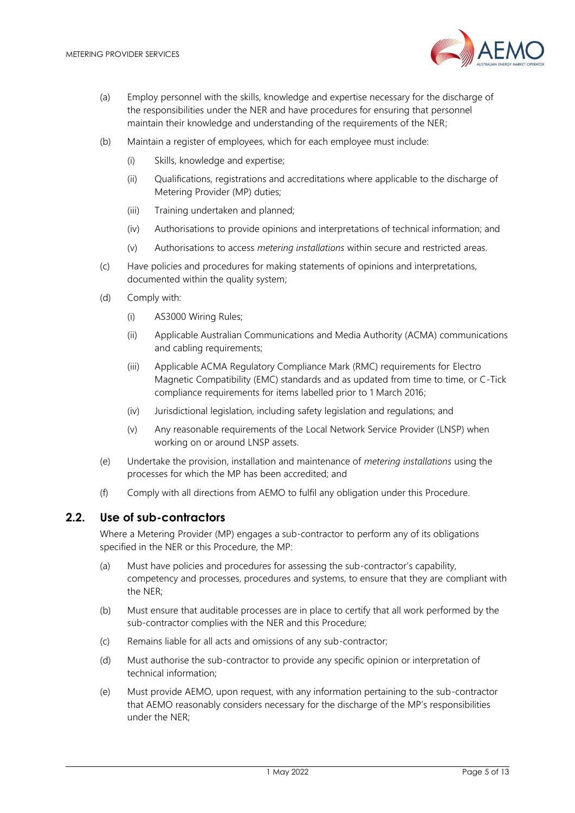

- (a) Employ personnel with the skills, knowledge and expertise necessary for the discharge of the responsibilities under the NER and have procedures for ensuring that personnel maintain their knowledge and understanding of the requirements of the NER;
- (b) Maintain a register of employees, which for each employee must include:
	- (i) Skills, knowledge and expertise;
	- (ii) Qualifications, registrations and accreditations where applicable to the discharge of Metering Provider (MP) duties;
	- (iii) Training undertaken and planned;
	- (iv) Authorisations to provide opinions and interpretations of technical information; and
	- (v) Authorisations to access *metering installations* within secure and restricted areas.
- (c) Have policies and procedures for making statements of opinions and interpretations, documented within the quality system;
- (d) Comply with:
	- (i) AS3000 Wiring Rules;
	- (ii) Applicable Australian Communications and Media Authority (ACMA) communications and cabling requirements;
	- (iii) Applicable ACMA Regulatory Compliance Mark (RMC) requirements for Electro Magnetic Compatibility (EMC) standards and as updated from time to time, or C-Tick compliance requirements for items labelled prior to 1 March 2016;
	- (iv) Jurisdictional legislation, including safety legislation and regulations; and
	- (v) Any reasonable requirements of the Local Network Service Provider (LNSP) when working on or around LNSP assets.
- (e) Undertake the provision, installation and maintenance of *metering installations* using the processes for which the MP has been accredited; and
- (f) Comply with all directions from AEMO to fulfil any obligation under this Procedure.

#### <span id="page-4-0"></span>**2.2. Use of sub-contractors**

Where a Metering Provider (MP) engages a sub-contractor to perform any of its obligations specified in the NER or this Procedure, the MP:

- (a) Must have policies and procedures for assessing the sub-contractor's capability, competency and processes, procedures and systems, to ensure that they are compliant with the NER;
- (b) Must ensure that auditable processes are in place to certify that all work performed by the sub-contractor complies with the NER and this Procedure;
- (c) Remains liable for all acts and omissions of any sub-contractor;
- (d) Must authorise the sub-contractor to provide any specific opinion or interpretation of technical information;
- (e) Must provide AEMO, upon request, with any information pertaining to the sub-contractor that AEMO reasonably considers necessary for the discharge of the MP's responsibilities under the NER;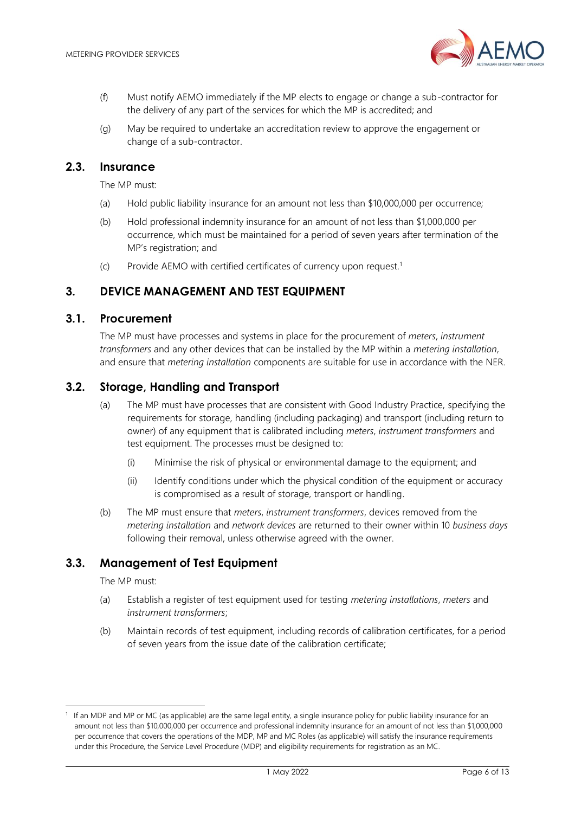

- (f) Must notify AEMO immediately if the MP elects to engage or change a sub-contractor for the delivery of any part of the services for which the MP is accredited; and
- (g) May be required to undertake an accreditation review to approve the engagement or change of a sub-contractor.

#### <span id="page-5-0"></span>**2.3. Insurance**

The MP must:

- (a) Hold public liability insurance for an amount not less than \$10,000,000 per occurrence;
- (b) Hold professional indemnity insurance for an amount of not less than \$1,000,000 per occurrence, which must be maintained for a period of seven years after termination of the MP's registration; and
- (c) Provide AEMO with certified certificates of currency upon request.<sup>1</sup>

## <span id="page-5-1"></span>**3. DEVICE MANAGEMENT AND TEST EQUIPMENT**

#### <span id="page-5-2"></span>**3.1. Procurement**

The MP must have processes and systems in place for the procurement of *meters*, *instrument transformers* and any other devices that can be installed by the MP within a *metering installation*, and ensure that *metering installation* components are suitable for use in accordance with the NER.

#### <span id="page-5-3"></span>**3.2. Storage, Handling and Transport**

- (a) The MP must have processes that are consistent with Good Industry Practice, specifying the requirements for storage, handling (including packaging) and transport (including return to owner) of any equipment that is calibrated including *meters*, *instrument transformers* and test equipment. The processes must be designed to:
	- (i) Minimise the risk of physical or environmental damage to the equipment; and
	- (ii) Identify conditions under which the physical condition of the equipment or accuracy is compromised as a result of storage, transport or handling.
- (b) The MP must ensure that *meters*, *instrument transformers*, devices removed from the *metering installation* and *network devices* are returned to their owner within 10 *business days* following their removal, unless otherwise agreed with the owner.

#### <span id="page-5-4"></span>**3.3. Management of Test Equipment**

The MP must:

- (a) Establish a register of test equipment used for testing *metering installations*, *meters* and *instrument transformers*;
- (b) Maintain records of test equipment, including records of calibration certificates, for a period of seven years from the issue date of the calibration certificate;

<sup>1</sup> If an MDP and MP or MC (as applicable) are the same legal entity, a single insurance policy for public liability insurance for an amount not less than \$10,000,000 per occurrence and professional indemnity insurance for an amount of not less than \$1,000,000 per occurrence that covers the operations of the MDP, MP and MC Roles (as applicable) will satisfy the insurance requirements under this Procedure, the Service Level Procedure (MDP) and eligibility requirements for registration as an MC.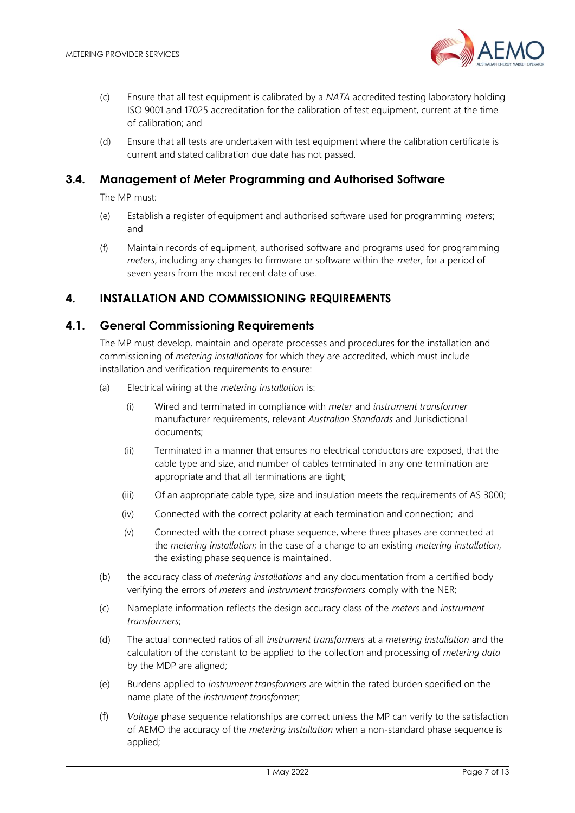

- (c) Ensure that all test equipment is calibrated by a *NATA* accredited testing laboratory holding ISO 9001 and 17025 accreditation for the calibration of test equipment, current at the time of calibration; and
- (d) Ensure that all tests are undertaken with test equipment where the calibration certificate is current and stated calibration due date has not passed.

#### <span id="page-6-0"></span>**3.4. Management of Meter Programming and Authorised Software**

The MP must:

- (e) Establish a register of equipment and authorised software used for programming *meters*; and
- (f) Maintain records of equipment, authorised software and programs used for programming *meters*, including any changes to firmware or software within the *meter*, for a period of seven years from the most recent date of use.

## <span id="page-6-1"></span>**4. INSTALLATION AND COMMISSIONING REQUIREMENTS**

#### <span id="page-6-2"></span>**4.1. General Commissioning Requirements**

The MP must develop, maintain and operate processes and procedures for the installation and commissioning of *metering installations* for which they are accredited, which must include installation and verification requirements to ensure:

- (a) Electrical wiring at the *metering installation* is:
	- (i) Wired and terminated in compliance with *meter* and *instrument transformer* manufacturer requirements, relevant *Australian Standards* and Jurisdictional documents;
	- (ii) Terminated in a manner that ensures no electrical conductors are exposed, that the cable type and size, and number of cables terminated in any one termination are appropriate and that all terminations are tight;
	- (iii) Of an appropriate cable type, size and insulation meets the requirements of AS 3000;
	- (iv) Connected with the correct polarity at each termination and connection; and
	- (v) Connected with the correct phase sequence, where three phases are connected at the *metering installation*; in the case of a change to an existing *metering installation*, the existing phase sequence is maintained.
- (b) the accuracy class of *metering installations* and any documentation from a certified body verifying the errors of *meters* and *instrument transformers* comply with the NER;
- (c) Nameplate information reflects the design accuracy class of the *meters* and *instrument transformers*;
- (d) The actual connected ratios of all *instrument transformers* at a *metering installation* and the calculation of the constant to be applied to the collection and processing of *metering data* by the MDP are aligned;
- (e) Burdens applied to *instrument transformers* are within the rated burden specified on the name plate of the *instrument transformer*;
- (f) *Voltage* phase sequence relationships are correct unless the MP can verify to the satisfaction of AEMO the accuracy of the *metering installation* when a non-standard phase sequence is applied;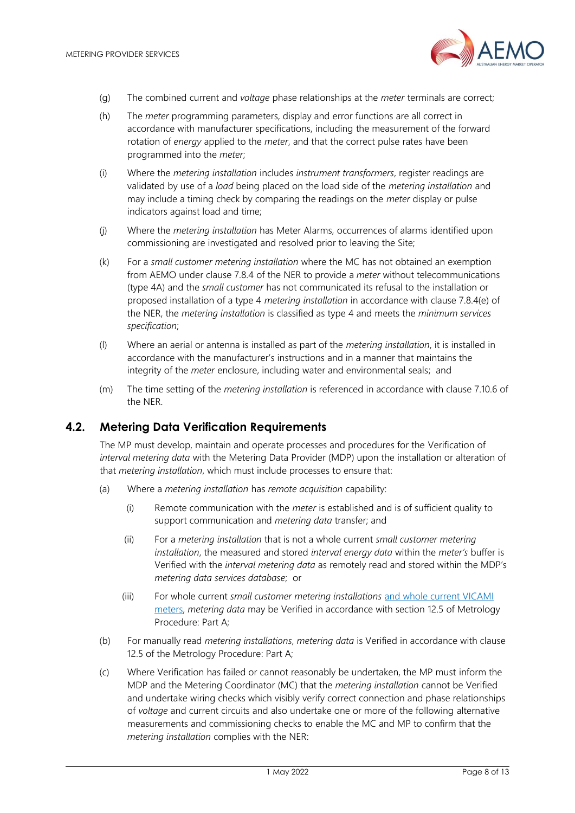

- (g) The combined current and *voltage* phase relationships at the *meter* terminals are correct;
- (h) The *meter* programming parameters, display and error functions are all correct in accordance with manufacturer specifications, including the measurement of the forward rotation of *energy* applied to the *meter*, and that the correct pulse rates have been programmed into the *meter*;
- (i) Where the *metering installation* includes *instrument transformers*, register readings are validated by use of a *load* being placed on the load side of the *metering installation* and may include a timing check by comparing the readings on the *meter* display or pulse indicators against load and time;
- (j) Where the *metering installation* has Meter Alarms, occurrences of alarms identified upon commissioning are investigated and resolved prior to leaving the Site;
- (k) For a *small customer metering installation* where the MC has not obtained an exemption from AEMO under clause 7.8.4 of the NER to provide a *meter* without telecommunications (type 4A) and the *small customer* has not communicated its refusal to the installation or proposed installation of a type 4 *metering installation* in accordance with clause 7.8.4(e) of the NER, the *metering installation* is classified as type 4 and meets the *minimum services specification*;
- (l) Where an aerial or antenna is installed as part of the *metering installation*, it is installed in accordance with the manufacturer's instructions and in a manner that maintains the integrity of the *meter* enclosure, including water and environmental seals; and
- (m) The time setting of the *metering installation* is referenced in accordance with clause 7.10.6 of the NER.

#### <span id="page-7-0"></span>**4.2. Metering Data Verification Requirements**

The MP must develop, maintain and operate processes and procedures for the Verification of *interval metering data* with the Metering Data Provider (MDP) upon the installation or alteration of that *metering installation*, which must include processes to ensure that:

- (a) Where a *metering installation* has *remote acquisition* capability:
	- (i) Remote communication with the *meter* is established and is of sufficient quality to support communication and *metering data* transfer; and
	- (ii) For a *metering installation* that is not a whole current *small customer metering installation*, the measured and stored *interval energy data* within the *meter's* buffer is Verified with the *interval metering data* as remotely read and stored within the MDP's *metering data services database*; or
	- (iii) For whole current *small customer metering installations* and whole current VICAMI meters, *metering data* may be Verified in accordance with section 12.5 of Metrology Procedure: Part A;
- (b) For manually read *metering installations*, *metering data* is Verified in accordance with clause 12.5 of the Metrology Procedure: Part A;
- (c) Where Verification has failed or cannot reasonably be undertaken, the MP must inform the MDP and the Metering Coordinator (MC) that the *metering installation* cannot be Verified and undertake wiring checks which visibly verify correct connection and phase relationships of *voltage* and current circuits and also undertake one or more of the following alternative measurements and commissioning checks to enable the MC and MP to confirm that the *metering installation* complies with the NER: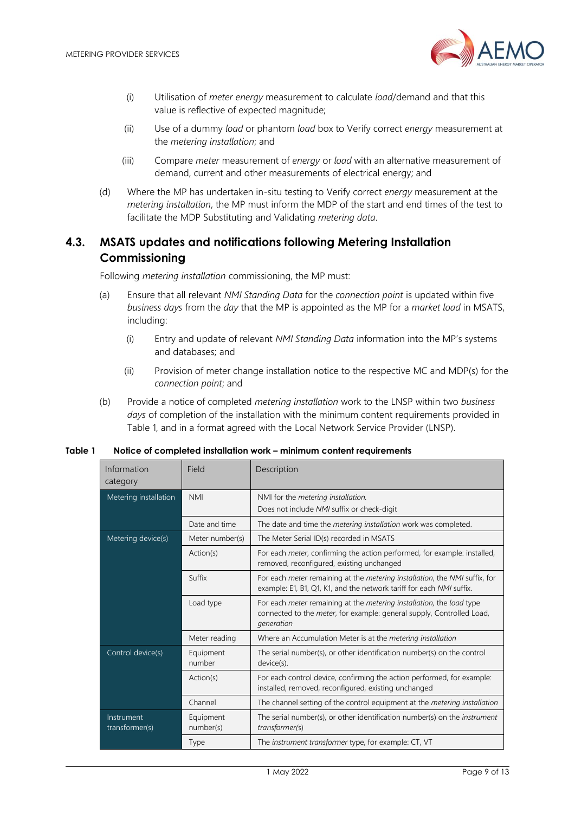

- (i) Utilisation of *meter energy* measurement to calculate *load*/demand and that this value is reflective of expected magnitude;
- (ii) Use of a dummy *load* or phantom *load* box to Verify correct *energy* measurement at the *metering installation*; and
- (iii) Compare *meter* measurement of *energy* or *load* with an alternative measurement of demand, current and other measurements of electrical energy; and
- (d) Where the MP has undertaken in-situ testing to Verify correct *energy* measurement at the *metering installation*, the MP must inform the MDP of the start and end times of the test to facilitate the MDP Substituting and Validating *metering data*.

# <span id="page-8-0"></span>**4.3. MSATS updates and notifications following Metering Installation Commissioning**

Following *metering installation* commissioning, the MP must:

- (a) Ensure that all relevant *NMI Standing Data* for the *connection point* is updated within five *business days* from the *day* that the MP is appointed as the MP for a *market load* in MSATS, including:
	- (i) Entry and update of relevant *NMI Standing Data* information into the MP's systems and databases; and
	- (ii) Provision of meter change installation notice to the respective MC and MDP(s) for the *connection point*; and
- (b) Provide a notice of completed *metering installation* work to the LNSP within two *business days* of completion of the installation with the minimum content requirements provided in Table 1, and in a format agreed with the Local Network Service Provider (LNSP).

| Information<br>category      | Field                  | Description                                                                                                                                                 |
|------------------------------|------------------------|-------------------------------------------------------------------------------------------------------------------------------------------------------------|
| Metering installation        | <b>NMI</b>             | NMI for the metering installation.                                                                                                                          |
|                              |                        | Does not include NMI suffix or check-digit                                                                                                                  |
|                              | Date and time          | The date and time the <i>metering installation</i> work was completed.                                                                                      |
| Metering device(s)           | Meter number(s)        | The Meter Serial ID(s) recorded in MSATS                                                                                                                    |
|                              | Action(s)              | For each <i>meter</i> , confirming the action performed, for example: installed,<br>removed, reconfigured, existing unchanged                               |
|                              | Suffix                 | For each meter remaining at the metering installation, the NMI suffix, for<br>example: E1, B1, Q1, K1, and the network tariff for each NMI suffix.          |
|                              | Load type              | For each meter remaining at the metering installation, the load type<br>connected to the meter, for example: general supply, Controlled Load,<br>generation |
|                              | Meter reading          | Where an Accumulation Meter is at the metering installation                                                                                                 |
| Control device(s)            | Equipment<br>number    | The serial number(s), or other identification number(s) on the control<br>device(s).                                                                        |
|                              | Action(s)              | For each control device, confirming the action performed, for example:<br>installed, removed, reconfigured, existing unchanged                              |
|                              | Channel                | The channel setting of the control equipment at the metering installation                                                                                   |
| Instrument<br>transformer(s) | Equipment<br>number(s) | The serial number(s), or other identification number(s) on the instrument<br>transformer(s)                                                                 |
|                              | Type                   | The instrument transformer type, for example: CT, VT                                                                                                        |

#### <span id="page-8-1"></span>**Table 1 Notice of completed installation work – minimum content requirements**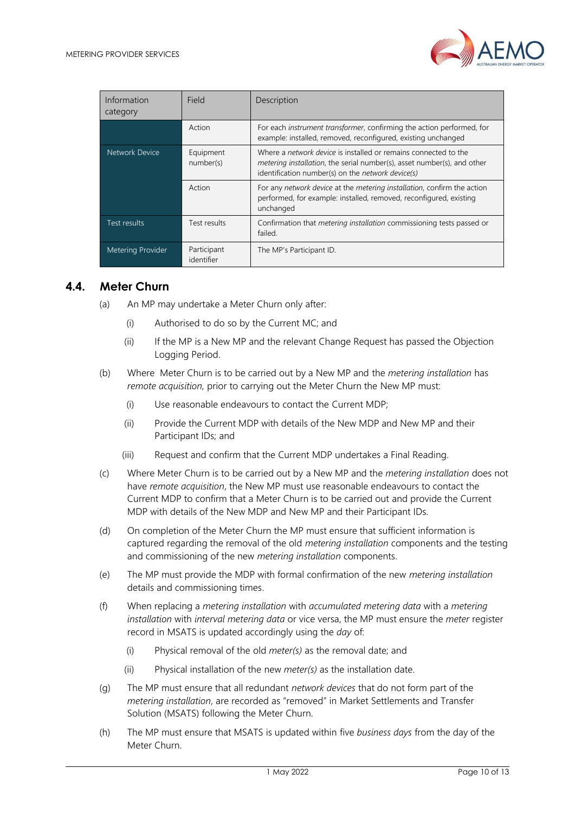

| Information<br>category | Field                     | Description                                                                                                                                                                                                    |
|-------------------------|---------------------------|----------------------------------------------------------------------------------------------------------------------------------------------------------------------------------------------------------------|
|                         | Action                    | For each <i>instrument transformer</i> , confirming the action performed, for<br>example: installed, removed, reconfigured, existing unchanged                                                                 |
| Network Device          | Equipment<br>number(s)    | Where a <i>network device</i> is installed or remains connected to the<br><i>metering installation</i> , the serial number(s), asset number(s), and other<br>identification number(s) on the network device(s) |
|                         | Action                    | For any network device at the metering installation, confirm the action<br>performed, for example: installed, removed, reconfigured, existing<br>unchanged                                                     |
| Test results            | Test results              | Confirmation that <i>metering installation</i> commissioning tests passed or<br>failed.                                                                                                                        |
| Metering Provider       | Participant<br>identifier | The MP's Participant ID.                                                                                                                                                                                       |

#### <span id="page-9-0"></span>**4.4. Meter Churn**

- (a) An MP may undertake a Meter Churn only after:
	- (i) Authorised to do so by the Current MC; and
	- (ii) If the MP is a New MP and the relevant Change Request has passed the Objection Logging Period.
- (b) Where Meter Churn is to be carried out by a New MP and the *metering installation* has *remote acquisition,* prior to carrying out the Meter Churn the New MP must:
	- (i) Use reasonable endeavours to contact the Current MDP;
	- (ii) Provide the Current MDP with details of the New MDP and New MP and their Participant IDs; and
	- (iii) Request and confirm that the Current MDP undertakes a Final Reading.
- (c) Where Meter Churn is to be carried out by a New MP and the *metering installation* does not have *remote acquisition*, the New MP must use reasonable endeavours to contact the Current MDP to confirm that a Meter Churn is to be carried out and provide the Current MDP with details of the New MDP and New MP and their Participant IDs.
- (d) On completion of the Meter Churn the MP must ensure that sufficient information is captured regarding the removal of the old *metering installation* components and the testing and commissioning of the new *metering installation* components.
- (e) The MP must provide the MDP with formal confirmation of the new *metering installation* details and commissioning times.
- (f) When replacing a *metering installation* with *accumulated metering data* with a *metering installation* with *interval metering data* or vice versa, the MP must ensure the *meter* register record in MSATS is updated accordingly using the *day* of:
	- (i) Physical removal of the old *meter(s)* as the removal date; and
	- (ii) Physical installation of the new *meter(s)* as the installation date.
- (g) The MP must ensure that all redundant *network devices* that do not form part of the *metering installation*, are recorded as "removed" in Market Settlements and Transfer Solution (MSATS) following the Meter Churn.
- (h) The MP must ensure that MSATS is updated within five *business days* from the day of the Meter Churn.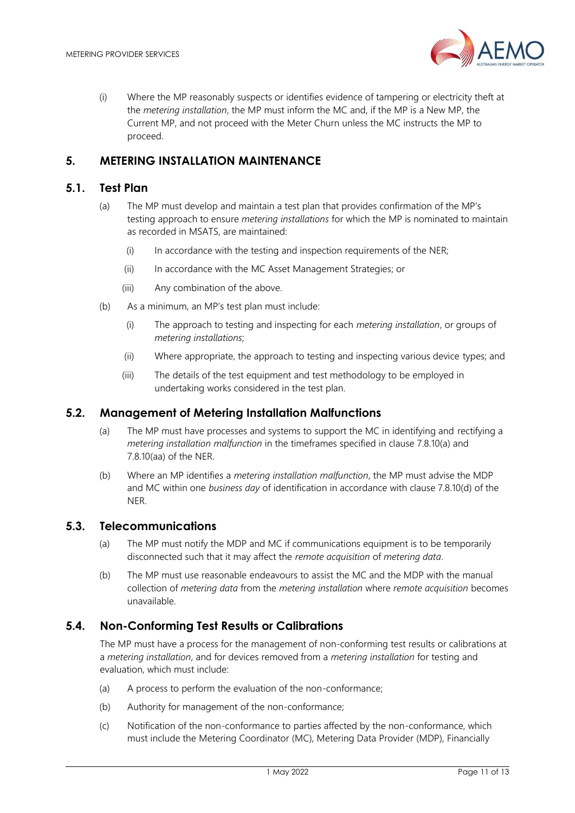

(i) Where the MP reasonably suspects or identifies evidence of tampering or electricity theft at the *metering installation*, the MP must inform the MC and, if the MP is a New MP, the Current MP, and not proceed with the Meter Churn unless the MC instructs the MP to proceed.

# <span id="page-10-0"></span>**5. METERING INSTALLATION MAINTENANCE**

#### <span id="page-10-1"></span>**5.1. Test Plan**

- (a) The MP must develop and maintain a test plan that provides confirmation of the MP's testing approach to ensure *metering installations* for which the MP is nominated to maintain as recorded in MSATS, are maintained:
	- (i) In accordance with the testing and inspection requirements of the NER;
	- (ii) In accordance with the MC Asset Management Strategies; or
	- (iii) Any combination of the above.
- (b) As a minimum, an MP's test plan must include:
	- (i) The approach to testing and inspecting for each *metering installation*, or groups of *metering installations*;
	- (ii) Where appropriate, the approach to testing and inspecting various device types; and
	- (iii) The details of the test equipment and test methodology to be employed in undertaking works considered in the test plan.

#### <span id="page-10-2"></span>**5.2. Management of Metering Installation Malfunctions**

- (a) The MP must have processes and systems to support the MC in identifying and rectifying a *metering installation malfunction* in the timeframes specified in clause 7.8.10(a) and 7.8.10(aa) of the NER.
- (b) Where an MP identifies a *metering installation malfunction*, the MP must advise the MDP and MC within one *business day* of identification in accordance with clause 7.8.10(d) of the NER.

#### <span id="page-10-3"></span>**5.3. Telecommunications**

- (a) The MP must notify the MDP and MC if communications equipment is to be temporarily disconnected such that it may affect the *remote acquisition* of *metering data*.
- (b) The MP must use reasonable endeavours to assist the MC and the MDP with the manual collection of *metering data* from the *metering installation* where *remote acquisition* becomes unavailable.

#### <span id="page-10-4"></span>**5.4. Non-Conforming Test Results or Calibrations**

The MP must have a process for the management of non-conforming test results or calibrations at a *metering installation*, and for devices removed from a *metering installation* for testing and evaluation, which must include:

- (a) A process to perform the evaluation of the non-conformance;
- (b) Authority for management of the non-conformance;
- (c) Notification of the non-conformance to parties affected by the non-conformance, which must include the Metering Coordinator (MC), Metering Data Provider (MDP), Financially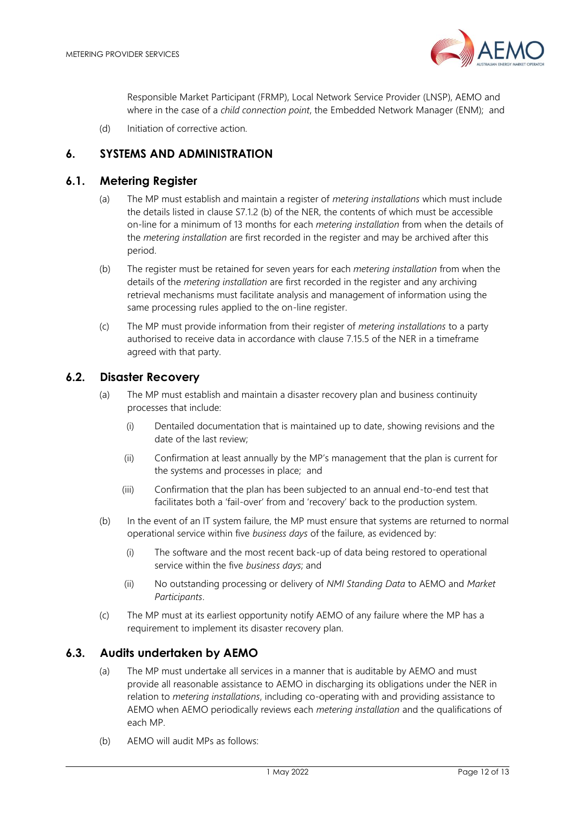

Responsible Market Participant (FRMP), Local Network Service Provider (LNSP), AEMO and where in the case of a *child connection point*, the Embedded Network Manager (ENM); and

(d) Initiation of corrective action.

## <span id="page-11-0"></span>**6. SYSTEMS AND ADMINISTRATION**

#### <span id="page-11-1"></span>**6.1. Metering Register**

- (a) The MP must establish and maintain a register of *metering installations* which must include the details listed in clause S7.1.2 (b) of the NER, the contents of which must be accessible on-line for a minimum of 13 months for each *metering installation* from when the details of the *metering installation* are first recorded in the register and may be archived after this period.
- (b) The register must be retained for seven years for each *metering installation* from when the details of the *metering installation* are first recorded in the register and any archiving retrieval mechanisms must facilitate analysis and management of information using the same processing rules applied to the on-line register.
- (c) The MP must provide information from their register of *metering installations* to a party authorised to receive data in accordance with clause 7.15.5 of the NER in a timeframe agreed with that party.

#### <span id="page-11-2"></span>**6.2. Disaster Recovery**

- (a) The MP must establish and maintain a disaster recovery plan and business continuity processes that include:
	- (i) Dentailed documentation that is maintained up to date, showing revisions and the date of the last review;
	- (ii) Confirmation at least annually by the MP's management that the plan is current for the systems and processes in place; and
	- (iii) Confirmation that the plan has been subjected to an annual end-to-end test that facilitates both a 'fail-over' from and 'recovery' back to the production system.
- (b) In the event of an IT system failure, the MP must ensure that systems are returned to normal operational service within five *business days* of the failure, as evidenced by:
	- (i) The software and the most recent back-up of data being restored to operational service within the five *business days*; and
	- (ii) No outstanding processing or delivery of *NMI Standing Data* to AEMO and *Market Participants*.
- (c) The MP must at its earliest opportunity notify AEMO of any failure where the MP has a requirement to implement its disaster recovery plan.

#### <span id="page-11-3"></span>**6.3. Audits undertaken by AEMO**

- (a) The MP must undertake all services in a manner that is auditable by AEMO and must provide all reasonable assistance to AEMO in discharging its obligations under the NER in relation to *metering installations*, including co-operating with and providing assistance to AEMO when AEMO periodically reviews each *metering installation* and the qualifications of each MP.
- (b) AEMO will audit MPs as follows: